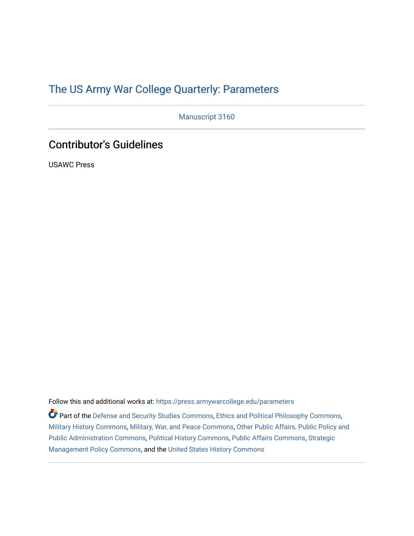# [The US Army War College Quarterly: Parameters](https://press.armywarcollege.edu/parameters)

Manuscript 3160

# Contributor's Guidelines

USAWC Press

Follow this and additional works at: [https://press.armywarcollege.edu/parameters](https://press.armywarcollege.edu/parameters?utm_source=press.armywarcollege.edu%2Fparameters%2Fvol52%2Fiss2%2F19&utm_medium=PDF&utm_campaign=PDFCoverPages) 

Part of the [Defense and Security Studies Commons](https://network.bepress.com/hgg/discipline/394?utm_source=press.armywarcollege.edu%2Fparameters%2Fvol52%2Fiss2%2F19&utm_medium=PDF&utm_campaign=PDFCoverPages), [Ethics and Political Philosophy Commons](https://network.bepress.com/hgg/discipline/529?utm_source=press.armywarcollege.edu%2Fparameters%2Fvol52%2Fiss2%2F19&utm_medium=PDF&utm_campaign=PDFCoverPages), [Military History Commons,](https://network.bepress.com/hgg/discipline/504?utm_source=press.armywarcollege.edu%2Fparameters%2Fvol52%2Fiss2%2F19&utm_medium=PDF&utm_campaign=PDFCoverPages) [Military, War, and Peace Commons,](https://network.bepress.com/hgg/discipline/861?utm_source=press.armywarcollege.edu%2Fparameters%2Fvol52%2Fiss2%2F19&utm_medium=PDF&utm_campaign=PDFCoverPages) [Other Public Affairs, Public Policy and](https://network.bepress.com/hgg/discipline/403?utm_source=press.armywarcollege.edu%2Fparameters%2Fvol52%2Fiss2%2F19&utm_medium=PDF&utm_campaign=PDFCoverPages)  [Public Administration Commons,](https://network.bepress.com/hgg/discipline/403?utm_source=press.armywarcollege.edu%2Fparameters%2Fvol52%2Fiss2%2F19&utm_medium=PDF&utm_campaign=PDFCoverPages) [Political History Commons,](https://network.bepress.com/hgg/discipline/505?utm_source=press.armywarcollege.edu%2Fparameters%2Fvol52%2Fiss2%2F19&utm_medium=PDF&utm_campaign=PDFCoverPages) [Public Affairs Commons,](https://network.bepress.com/hgg/discipline/399?utm_source=press.armywarcollege.edu%2Fparameters%2Fvol52%2Fiss2%2F19&utm_medium=PDF&utm_campaign=PDFCoverPages) [Strategic](https://network.bepress.com/hgg/discipline/642?utm_source=press.armywarcollege.edu%2Fparameters%2Fvol52%2Fiss2%2F19&utm_medium=PDF&utm_campaign=PDFCoverPages)  [Management Policy Commons,](https://network.bepress.com/hgg/discipline/642?utm_source=press.armywarcollege.edu%2Fparameters%2Fvol52%2Fiss2%2F19&utm_medium=PDF&utm_campaign=PDFCoverPages) and the [United States History Commons](https://network.bepress.com/hgg/discipline/495?utm_source=press.armywarcollege.edu%2Fparameters%2Fvol52%2Fiss2%2F19&utm_medium=PDF&utm_campaign=PDFCoverPages)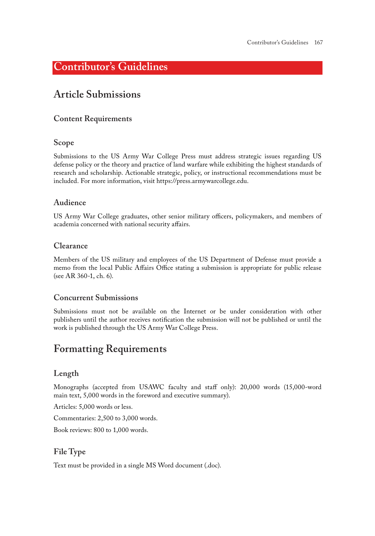# **Contributor's Guidelines**

## **Article Submissions**

#### **Content Requirements**

#### **Scope**

Submissions to the US Army War College Press must address strategic issues regarding US defense policy or the theory and practice of land warfare while exhibiting the highest standards of research and scholarship. Actionable strategic, policy, or instructional recommendations must be included. For more information, visit<https://press.armywarcollege.edu>.

#### **Audience**

US Army War College graduates, other senior military officers, policymakers, and members of academia concerned with national security affairs.

#### **Clearance**

Members of the US military and employees of the US Department of Defense must provide a memo from the local Public Affairs Office stating a submission is appropriate for public release (see AR 360-1, ch. 6).

#### **Concurrent Submissions**

Submissions must not be available on the Internet or be under consideration with other publishers until the author receives notification the submission will not be published or until the work is published through the US Army War College Press.

### **Formatting Requirements**

### **Length**

Monographs (accepted from USAWC faculty and staff only): 20,000 words (15,000-word main text, 5,000 words in the foreword and executive summary).

Articles: 5,000 words or less.

Commentaries: 2,500 to 3,000 words.

Book reviews: 800 to 1,000 words.

#### **File Type**

Text must be provided in a single MS Word document (.doc).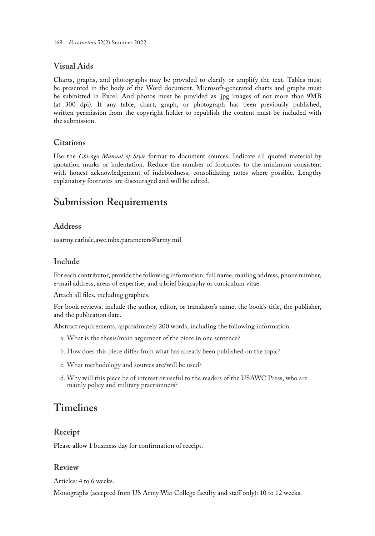### **Visual Aids**

Charts, graphs, and photographs may be provided to clarify or amplify the text. Tables must be presented in the body of the Word document. Microsoft-generated charts and graphs must be submitted in Excel. And photos must be provided as .jpg images of not more than 9MB (at 300 dpi). If any table, chart, graph, or photograph has been previously published, written permission from the copyright holder to republish the content must be included with the submission.

### **Citations**

Use the *Chicago Manual of Style* format to document sources. Indicate all quoted material by quotation marks or indentation. Reduce the number of footnotes to the minimum consistent with honest acknowledgement of indebtedness, consolidating notes where possible. Lengthy explanatory footnotes are discouraged and will be edited.

### **Submission Requirements**

### **Address**

usarmy.carlisle.awc.mbx.parameters@army.mil

### **Include**

For each contributor, provide the following information: full name, mailing address, phone number, e-mail address, areas of expertise, and a brief biography or curriculum vitae.

Attach all files, including graphics.

For book reviews, include the author, editor, or translator's name, the book's title, the publisher, and the publication date.

Abstract requirements, approximately 200 words, including the following information:

- a. What is the thesis/main argument of the piece in one sentence?
- b. How does this piece differ from what has already been published on the topic?
- c. What methodology and sources are/will be used?
- d. Why will this piece be of interest or useful to the readers of the USAWC Press, who are mainly policy and military practionners?

# **Timelines**

### **Receipt**

Please allow 1 business day for confirmation of receipt.

### **Review**

Articles: 4 to 6 weeks.

Monographs (accepted from US Army War College faculty and staff only): 10 to 12 weeks.